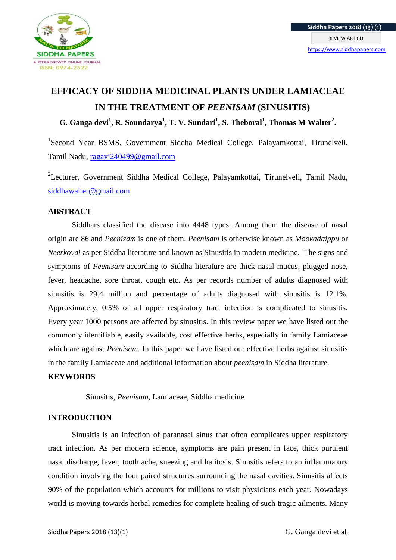

# **EFFICACY OF SIDDHA MEDICINAL PLANTS UNDER LAMIACEAE IN THE TREATMENT OF** *PEENISAM* **(SINUSITIS)**

**G. Ganga devi<sup>1</sup> , R. Soundarya<sup>1</sup> , T. V. Sundari<sup>1</sup> , S. Theboral<sup>1</sup> , Thomas M Walter<sup>2</sup> .**

<sup>1</sup>Second Year BSMS, Government Siddha Medical College, Palayamkottai, Tirunelveli, Tamil Nadu, [ragavi240499@gmail.com](mailto:ragavi240499@gmail.com)

<sup>2</sup>Lecturer, Government Siddha Medical College, Palayamkottai, Tirunelveli, Tamil Nadu, [siddhawalter@gmail.com](mailto:siddhawalter@gmail.com)

## **ABSTRACT**

Siddhars classified the disease into 4448 types. Among them the disease of nasal origin are 86 and *Peenisam* is one of them. *Peenisam* is otherwise known as *Mookadaippu* or *Neerkovai* as per Siddha literature and known as Sinusitis in modern medicine. The signs and symptoms of *Peenisam* according to Siddha literature are thick nasal mucus, plugged nose, fever, headache, sore throat, cough etc. As per records number of adults diagnosed with sinusitis is 29.4 million and percentage of adults diagnosed with sinusitis is 12.1%. Approximately, 0.5% of all upper respiratory tract infection is complicated to sinusitis. Every year 1000 persons are affected by sinusitis. In this review paper we have listed out the commonly identifiable, easily available, cost effective herbs, especially in family Lamiaceae which are against *Peenisam*. In this paper we have listed out effective herbs against sinusitis in the family Lamiaceae and additional information about *peenisam* in Siddha literature.

## **KEYWORDS**

Sinusitis, *Peenisam*, Lamiaceae, Siddha medicine

## **INTRODUCTION**

Sinusitis is an infection of paranasal sinus that often complicates upper respiratory tract infection. As per modern science, symptoms are pain present in face, thick purulent nasal discharge, fever, tooth ache, sneezing and halitosis. Sinusitis refers to an inflammatory condition involving the four paired structures surrounding the nasal cavities. Sinusitis affects 90% of the population which accounts for millions to visit physicians each year. Nowadays world is moving towards herbal remedies for complete healing of such tragic ailments. Many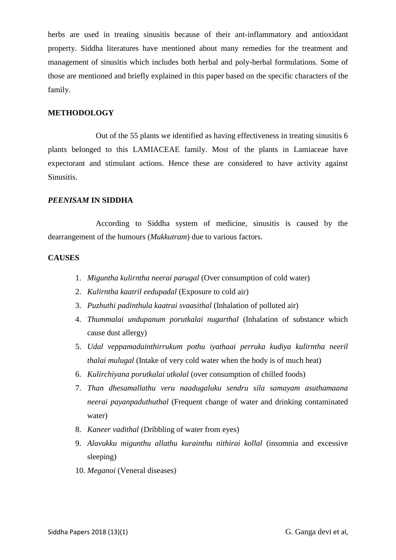herbs are used in treating sinusitis because of their ant-inflammatory and antioxidant property. Siddha literatures have mentioned about many remedies for the treatment and management of sinusitis which includes both herbal and poly-herbal formulations. Some of those are mentioned and briefly explained in this paper based on the specific characters of the family.

## **METHODOLOGY**

 Out of the 55 plants we identified as having effectiveness in treating sinusitis 6 plants belonged to this LAMIACEAE family. Most of the plants in Lamiaceae have expectorant and stimulant actions. Hence these are considered to have activity against Sinusitis.

#### *PEENISAM* **IN SIDDHA**

 According to Siddha system of medicine, sinusitis is caused by the dearrangement of the humours (*Mukkutram*) due to various factors.

#### **CAUSES**

- 1. *Miguntha kulirntha neerai parugal* (Over consumption of cold water)
- 2. *Kulirntha kaatril eedupadal* (Exposure to cold air)
- 3. *Puzhuthi padinthula kaatrai svaasithal* (Inhalation of polluted air)
- 4. *Thummalai undupanum porutkalai nugarthal* (Inhalation of substance which cause dust allergy)
- 5. *Udal veppamadainthirrukum pothu iyathaai perruka kudiya kulirntha neeril thalai mulugal* (Intake of very cold water when the body is of much heat)
- 6. *Kulirchiyana porutkalai utkolal* (over consumption of chilled foods)
- 7. *Than dhesamallathu veru naadugaluku sendru sila samayam asuthamaana neerai payanpaduthuthal* (Frequent change of water and drinking contaminated water)
- 8. *Kaneer vadithal* (Dribbling of water from eyes)
- 9. *Alavukku migunthu allathu kurainthu nithirai kollal* (insomnia and excessive sleeping)
- 10. *Meganoi* (Veneral diseases)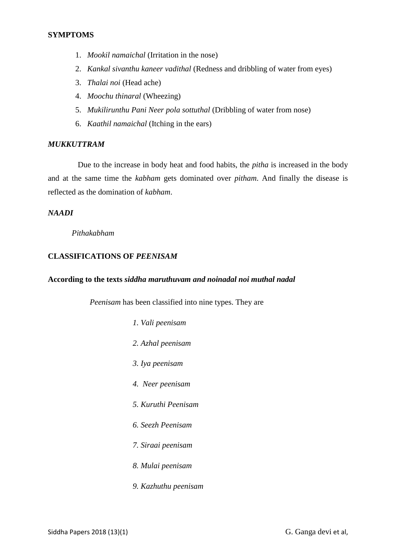- 1. *Mookil namaichal* (Irritation in the nose)
- 2. *Kankal sivanthu kaneer vadithal* (Redness and dribbling of water from eyes)
- 3. *Thalai noi* (Head ache)
- 4. *Moochu thinaral* (Wheezing)
- 5. *Mukilirunthu Pani Neer pola sottuthal* (Dribbling of water from nose)
- 6. *Kaathil namaichal* (Itching in the ears)

## *MUKKUTTRAM*

 Due to the increase in body heat and food habits, the *pitha* is increased in the body and at the same time the *kabham* gets dominated over *pitham*. And finally the disease is reflected as the domination of *kabham*.

### *NAADI*

*Pithakabham*

## **CLASSIFICATIONS OF** *PEENISAM*

#### **According to the texts** *siddha maruthuvam and noinadal noi muthal nadal*

 *Peenisam* has been classified into nine types. They are

- *1. Vali peenisam*
- *2. Azhal peenisam*
- *3. Iya peenisam*
- *4. Neer peenisam*
- *5. Kuruthi Peenisam*
- *6. Seezh Peenisam*
- *7. Siraai peenisam*
- *8. Mulai peenisam*
- *9. Kazhuthu peenisam*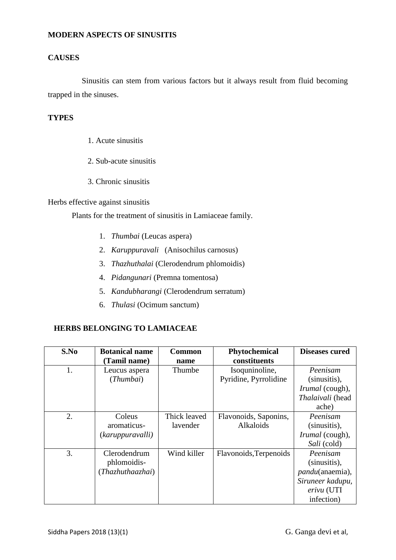#### **MODERN ASPECTS OF SINUSITIS**

## **CAUSES**

Sinusitis can stem from various factors but it always result from fluid becoming trapped in the sinuses.

## **TYPES**

- 1. Acute sinusitis
- 2. Sub-acute sinusitis
- 3. Chronic sinusitis

### Herbs effective against sinusitis

Plants for the treatment of sinusitis in Lamiaceae family.

- 1. *Thumbai* (Leucas aspera)
- 2. *Karuppuravali* (Anisochilus carnosus)
- 3. *Thazhuthalai* (Clerodendrum phlomoidis)
- 4. *Pidangunari* (Premna tomentosa)
- 5. *Kandubharangi* (Clerodendrum serratum)
- 6. *Thulasi* (Ocimum sanctum)

## **HERBS BELONGING TO LAMIACEAE**

| S.No | <b>Botanical name</b> | <b>Common</b> | Phytochemical          | <b>Diseases cured</b>   |
|------|-----------------------|---------------|------------------------|-------------------------|
|      | (Tamil name)          | name          | constituents           |                         |
| 1.   | Leucus aspera         | Thumbe        | Isoquninoline,         | Peenisam                |
|      | (Thumbai)             |               | Pyridine, Pyrrolidine  | (sinusitis),            |
|      |                       |               |                        | <i>Irumal</i> (cough),  |
|      |                       |               |                        | Thalaivali (head        |
|      |                       |               |                        | ache)                   |
| 2.   | Coleus                | Thick leaved  | Flavonoids, Saponins,  | Peenisam                |
|      | aromaticus-           | lavender      | Alkaloids              | (sinusitis),            |
|      | (karuppuravalli)      |               |                        | Irumal (cough),         |
|      |                       |               |                        | Sali (cold)             |
| 3.   | Clerodendrum          | Wind killer   | Flavonoids, Terpenoids | Peenisam                |
|      | phlomoidis-           |               |                        | (sinusitis),            |
|      | (Thazhuthaazhai)      |               |                        | <i>pandu</i> (anaemia), |
|      |                       |               |                        | Siruneer kadupu,        |
|      |                       |               |                        | erivu (UTI              |
|      |                       |               |                        | infection)              |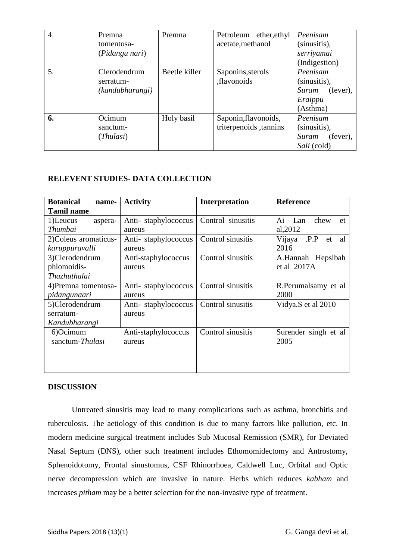| $\overline{4}$ . | Premna          | Premna        | Petroleum ether, ethyl | Peenisam          |
|------------------|-----------------|---------------|------------------------|-------------------|
|                  | tomentosa-      |               | acetate, methanol      | (sinusitis),      |
|                  | (Pidangu nari)  |               |                        | serriyamai        |
|                  |                 |               |                        | (Indigestion)     |
| 5.               | Clerodendrum    | Beetle killer | Saponins, sterols      | Peenisam          |
|                  | serratum-       |               | ,flavonoids            | (sinusitis),      |
|                  | (kandubharangi) |               |                        | (fever),<br>Suram |
|                  |                 |               |                        | Eraippu           |
|                  |                 |               |                        | (Asthma)          |
| 6.               | Ocimum          | Holy basil    | Saponin, flavonoids,   | Peenisam          |
|                  | sanctum-        |               | triterpenoids, tannins | (sinusitis),      |
|                  | (Thulasi)       |               |                        | (fever),<br>Suram |
|                  |                 |               |                        | Sali (cold)       |

## **RELEVENT STUDIES- DATA COLLECTION**

| <b>Botanical</b><br>name- | <b>Activity</b>     | Interpretation    | <b>Reference</b>           |
|---------------------------|---------------------|-------------------|----------------------------|
| <b>Tamil name</b>         |                     |                   |                            |
| 1)Leucus<br>aspera-       | Anti-staphylococcus | Control sinusitis | Ai Lan<br>chew<br>et       |
| <b>Thumbai</b>            | aureus              |                   | al, 2012                   |
| 2) Coleus aromaticus-     | Anti-staphylococcus | Control sinusitis | .P.P<br>Vijaya<br>al<br>et |
| karuppuravalli            | aureus              |                   | 2016                       |
| 3)Clerodendrum            | Anti-staphylococcus | Control sinusitis | A.Hannah Hepsibah          |
| phlomoidis-               | aureus              |                   | et al 2017A                |
| Thazhuthalai              |                     |                   |                            |
| 4) Premna tomentosa-      | Anti-staphylococcus | Control sinusitis | R.Perumalsamy et al        |
| pidangunaari              | aureus              |                   | 2000                       |
| 5)Clerodendrum            | Anti-staphylococcus | Control sinusitis | Vidya.S et al 2010         |
| serratum-                 | aureus              |                   |                            |
| Kandubharangi             |                     |                   |                            |
| 6)Ocimum                  | Anti-staphylococcus | Control sinusitis | Surender singh et al       |
| sanctum-Thulasi           | aureus              |                   | 2005                       |
|                           |                     |                   |                            |
|                           |                     |                   |                            |
|                           |                     |                   |                            |

### **DISCUSSION**

Untreated sinusitis may lead to many complications such as asthma, bronchitis and tuberculosis. The aetiology of this condition is due to many factors like pollution, etc. In modern medicine surgical treatment includes Sub Mucosal Remission (SMR), for Deviated Nasal Septum (DNS), other such treatment includes Ethomomidectomy and Antrostomy, Sphenoidotomy, Frontal sinustomus, CSF Rhinorrhoea, Caldwell Luc, Orbital and Optic nerve decompression which are invasive in nature. Herbs which reduces *kabham* and increases *pitham* may be a better selection for the non-invasive type of treatment.